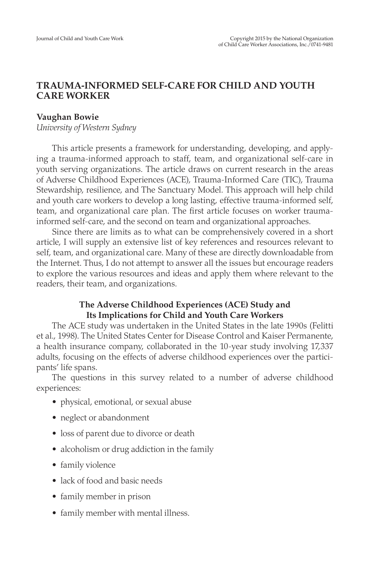# **TRAUMA-INFORMED SELF-CARE FOR CHILD AND YOUTH CARE WORKER**

### **Vaughan Bowie**

*University of Western Sydney*

This article presents a framework for understanding, developing, and applying a trauma-informed approach to staff, team, and organizational self-care in youth serving organizations. The article draws on current research in the areas of Adverse Childhood Experiences (ACE), Trauma-Informed Care (TIC), Trauma Stewardship, resilience, and The Sanctuary Model. This approach will help child and youth care workers to develop a long lasting, effective trauma-informed self, team, and organizational care plan. The first article focuses on worker traumainformed self-care, and the second on team and organizational approaches.

Since there are limits as to what can be comprehensively covered in a short article, I will supply an extensive list of key references and resources relevant to self, team, and organizational care. Many of these are directly downloadable from the Internet. Thus, I do not attempt to answer all the issues but encourage readers to explore the various resources and ideas and apply them where relevant to the readers, their team, and organizations.

## **The Adverse Childhood Experiences (ACE) Study and Its Implications for Child and Youth Care Workers**

The ACE study was undertaken in the United States in the late 1990s (Felitti et al., 1998). The United States Center for Disease Control and Kaiser Permanente, a health insurance company, collaborated in the 10-year study involving 17,337 adults, focusing on the effects of adverse childhood experiences over the participants' life spans.

The questions in this survey related to a number of adverse childhood experiences:

- physical, emotional, or sexual abuse
- neglect or abandonment
- loss of parent due to divorce or death
- alcoholism or drug addiction in the family
- family violence
- lack of food and basic needs
- family member in prison
- family member with mental illness.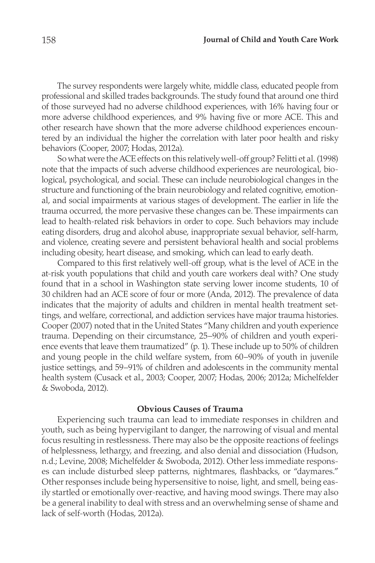The survey respondents were largely white, middle class, educated people from professional and skilled trades backgrounds. The study found that around one third of those surveyed had no adverse childhood experiences, with 16% having four or more adverse childhood experiences, and 9% having five or more ACE. This and other research have shown that the more adverse childhood experiences encountered by an individual the higher the correlation with later poor health and risky behaviors (Cooper, 2007; Hodas, 2012a).

So what were the ACE effects on this relatively well-off group? Felitti et al. (1998) note that the impacts of such adverse childhood experiences are neurological, biological, psychological, and social. These can include neurobiological changes in the structure and functioning of the brain neurobiology and related cognitive, emotional, and social impairments at various stages of development. The earlier in life the trauma occurred, the more pervasive these changes can be. These impairments can lead to health-related risk behaviors in order to cope. Such behaviors may include eating disorders, drug and alcohol abuse, inappropriate sexual behavior, self-harm, and violence, creating severe and persistent behavioral health and social problems including obesity, heart disease, and smoking, which can lead to early death.

Compared to this first relatively well-off group, what is the level of ACE in the at-risk youth populations that child and youth care workers deal with? One study found that in a school in Washington state serving lower income students, 10 of 30 children had an ACE score of four or more (Anda, 2012). The prevalence of data indicates that the majority of adults and children in mental health treatment settings, and welfare, correctional, and addiction services have major trauma histories. Cooper (2007) noted that in the United States "Many children and youth experience trauma. Depending on their circumstance, 25–90% of children and youth experience events that leave them traumatized" (p. 1). These include up to 50% of children and young people in the child welfare system, from 60–90% of youth in juvenile justice settings, and 59–91% of children and adolescents in the community mental health system (Cusack et al., 2003; Cooper, 2007; Hodas, 2006; 2012a; Michelfelder & Swoboda, 2012).

#### **Obvious Causes of Trauma**

Experiencing such trauma can lead to immediate responses in children and youth, such as being hypervigilant to danger, the narrowing of visual and mental focus resulting in restlessness. There may also be the opposite reactions of feelings of helplessness, lethargy, and freezing, and also denial and dissociation (Hudson, n.d.; Levine, 2008; Michelfelder & Swoboda, 2012). Other less immediate responses can include disturbed sleep patterns, nightmares, flashbacks, or "daymares." Other responses include being hypersensitive to noise, light, and smell, being easily startled or emotionally over-reactive, and having mood swings. There may also be a general inability to deal with stress and an overwhelming sense of shame and lack of self-worth (Hodas, 2012a).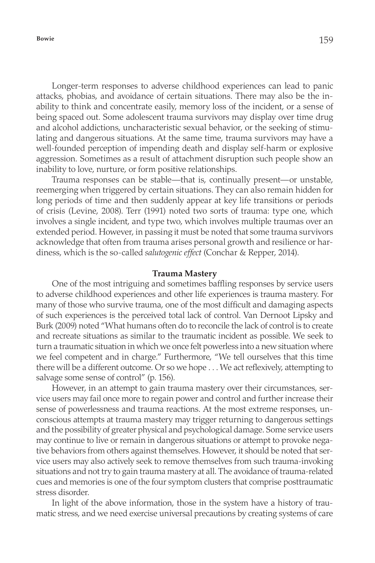Longer-term responses to adverse childhood experiences can lead to panic attacks, phobias, and avoidance of certain situations. There may also be the inability to think and concentrate easily, memory loss of the incident, or a sense of being spaced out. Some adolescent trauma survivors may display over time drug and alcohol addictions, uncharacteristic sexual behavior, or the seeking of stimulating and dangerous situations. At the same time, trauma survivors may have a well-founded perception of impending death and display self-harm or explosive aggression. Sometimes as a result of attachment disruption such people show an inability to love, nurture, or form positive relationships.

Trauma responses can be stable—that is, continually present—or unstable, reemerging when triggered by certain situations. They can also remain hidden for long periods of time and then suddenly appear at key life transitions or periods of crisis (Levine, 2008). Terr (1991) noted two sorts of trauma: type one, which involves a single incident, and type two, which involves multiple traumas over an extended period. However, in passing it must be noted that some trauma survivors acknowledge that often from trauma arises personal growth and resilience or hardiness, which is the so-called *salutogenic effect* (Conchar & Repper, 2014).

#### **Trauma Mastery**

One of the most intriguing and sometimes baffling responses by service users to adverse childhood experiences and other life experiences is trauma mastery. For many of those who survive trauma, one of the most difficult and damaging aspects of such experiences is the perceived total lack of control. Van Dernoot Lipsky and Burk (2009) noted "What humans often do to reconcile the lack of control is to create and recreate situations as similar to the traumatic incident as possible. We seek to turn a traumatic situation in which we once felt powerless into a new situation where we feel competent and in charge." Furthermore, "We tell ourselves that this time there will be a different outcome. Or so we hope . . . We act reflexively, attempting to salvage some sense of control" (p. 156).

However, in an attempt to gain trauma mastery over their circumstances, service users may fail once more to regain power and control and further increase their sense of powerlessness and trauma reactions. At the most extreme responses, unconscious attempts at trauma mastery may trigger returning to dangerous settings and the possibility of greater physical and psychological damage. Some service users may continue to live or remain in dangerous situations or attempt to provoke negative behaviors from others against themselves. However, it should be noted that service users may also actively seek to remove themselves from such trauma-invoking situations and not try to gain trauma mastery at all. The avoidance of trauma-related cues and memories is one of the four symptom clusters that comprise posttraumatic stress disorder.

In light of the above information, those in the system have a history of traumatic stress, and we need exercise universal precautions by creating systems of care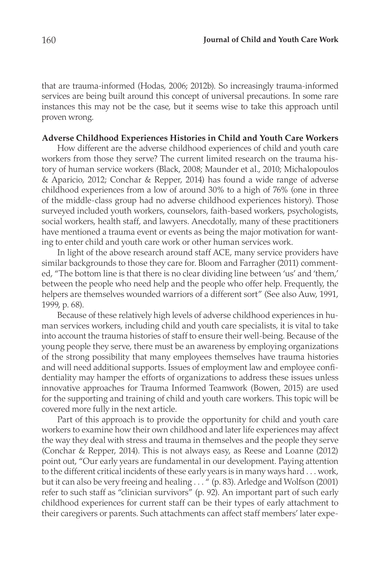that are trauma-informed (Hodas, 2006; 2012b). So increasingly trauma-informed services are being built around this concept of universal precautions. In some rare instances this may not be the case, but it seems wise to take this approach until proven wrong.

#### **Adverse Childhood Experiences Histories in Child and Youth Care Workers**

How different are the adverse childhood experiences of child and youth care workers from those they serve? The current limited research on the trauma history of human service workers (Black, 2008; Maunder et al., 2010; Michalopoulos & Aparicio, 2012; Conchar & Repper, 2014) has found a wide range of adverse childhood experiences from a low of around 30% to a high of 76% (one in three of the middle-class group had no adverse childhood experiences history). Those surveyed included youth workers, counselors, faith-based workers, psychologists, social workers, health staff, and lawyers. Anecdotally, many of these practitioners have mentioned a trauma event or events as being the major motivation for wanting to enter child and youth care work or other human services work.

In light of the above research around staff ACE, many service providers have similar backgrounds to those they care for. Bloom and Farragher (2011) commented, "The bottom line is that there is no clear dividing line between 'us' and 'them,' between the people who need help and the people who offer help. Frequently, the helpers are themselves wounded warriors of a different sort" (See also Auw, 1991, 1999, p. 68).

Because of these relatively high levels of adverse childhood experiences in human services workers, including child and youth care specialists, it is vital to take into account the trauma histories of staff to ensure their well-being. Because of the young people they serve, there must be an awareness by employing organizations of the strong possibility that many employees themselves have trauma histories and will need additional supports. Issues of employment law and employee confidentiality may hamper the efforts of organizations to address these issues unless innovative approaches for Trauma Informed Teamwork (Bowen, 2015) are used for the supporting and training of child and youth care workers. This topic will be covered more fully in the next article.

Part of this approach is to provide the opportunity for child and youth care workers to examine how their own childhood and later life experiences may affect the way they deal with stress and trauma in themselves and the people they serve (Conchar & Repper, 2014). This is not always easy, as Reese and Loanne (2012) point out, "Our early years are fundamental in our development. Paying attention to the different critical incidents of these early years is in many ways hard . . . work, but it can also be very freeing and healing . . . " (p. 83). Arledge and Wolfson (2001) refer to such staff as "clinician survivors" (p. 92). An important part of such early childhood experiences for current staff can be their types of early attachment to their caregivers or parents. Such attachments can affect staff members' later expe-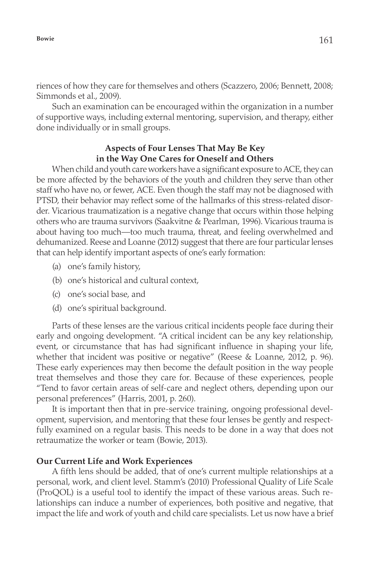riences of how they care for themselves and others (Scazzero, 2006; Bennett, 2008; Simmonds et al., 2009).

Such an examination can be encouraged within the organization in a number of supportive ways, including external mentoring, supervision, and therapy, either done individually or in small groups.

## **Aspects of Four Lenses That May Be Key in the Way One Cares for Oneself and Others**

When child and youth care workers have a significant exposure to ACE, they can be more affected by the behaviors of the youth and children they serve than other staff who have no, or fewer, ACE. Even though the staff may not be diagnosed with PTSD, their behavior may reflect some of the hallmarks of this stress-related disorder. Vicarious traumatization is a negative change that occurs within those helping others who are trauma survivors (Saakvitne & Pearlman, 1996). Vicarious trauma is about having too much—too much trauma, threat, and feeling overwhelmed and dehumanized. Reese and Loanne (2012) suggest that there are four particular lenses that can help identify important aspects of one's early formation:

- (a) one's family history,
- (b) one's historical and cultural context,
- (c) one's social base, and
- (d) one's spiritual background.

Parts of these lenses are the various critical incidents people face during their early and ongoing development. "A critical incident can be any key relationship, event, or circumstance that has had significant influence in shaping your life, whether that incident was positive or negative" (Reese & Loanne, 2012, p. 96). These early experiences may then become the default position in the way people treat themselves and those they care for. Because of these experiences, people "Tend to favor certain areas of self-care and neglect others, depending upon our personal preferences" (Harris, 2001, p. 260).

It is important then that in pre-service training, ongoing professional development, supervision, and mentoring that these four lenses be gently and respectfully examined on a regular basis. This needs to be done in a way that does not retraumatize the worker or team (Bowie, 2013).

### **Our Current Life and Work Experiences**

A fifth lens should be added, that of one's current multiple relationships at a personal, work, and client level. Stamm's (2010) Professional Quality of Life Scale (ProQOL) is a useful tool to identify the impact of these various areas. Such relationships can induce a number of experiences, both positive and negative, that impact the life and work of youth and child care specialists. Let us now have a brief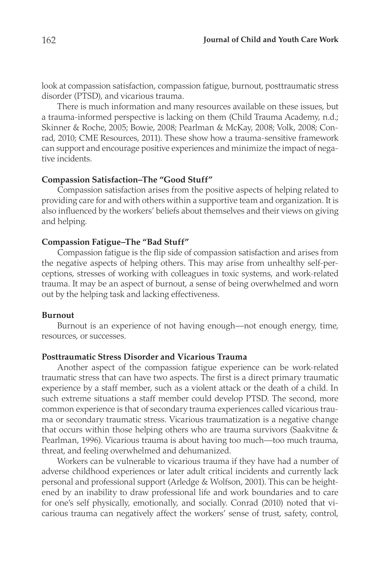look at compassion satisfaction, compassion fatigue, burnout, posttraumatic stress disorder (PTSD), and vicarious trauma.

There is much information and many resources available on these issues, but a trauma-informed perspective is lacking on them (Child Trauma Academy, n.d.; Skinner & Roche, 2005; Bowie, 2008; Pearlman & McKay, 2008; Volk, 2008; Conrad, 2010; CME Resources, 2011). These show how a trauma-sensitive framework can support and encourage positive experiences and minimize the impact of negative incidents.

#### **Compassion Satisfaction–The "Good Stuff"**

Compassion satisfaction arises from the positive aspects of helping related to providing care for and with others within a supportive team and organization. It is also influenced by the workers' beliefs about themselves and their views on giving and helping.

## **Compassion Fatigue–The "Bad Stuff"**

Compassion fatigue is the flip side of compassion satisfaction and arises from the negative aspects of helping others. This may arise from unhealthy self-perceptions, stresses of working with colleagues in toxic systems, and work-related trauma. It may be an aspect of burnout, a sense of being overwhelmed and worn out by the helping task and lacking effectiveness.

#### **Burnout**

Burnout is an experience of not having enough—not enough energy, time, resources, or successes.

### **Posttraumatic Stress Disorder and Vicarious Trauma**

Another aspect of the compassion fatigue experience can be work-related traumatic stress that can have two aspects. The first is a direct primary traumatic experience by a staff member, such as a violent attack or the death of a child. In such extreme situations a staff member could develop PTSD. The second, more common experience is that of secondary trauma experiences called vicarious trauma or secondary traumatic stress. Vicarious traumatization is a negative change that occurs within those helping others who are trauma survivors (Saakvitne & Pearlman, 1996). Vicarious trauma is about having too much—too much trauma, threat, and feeling overwhelmed and dehumanized.

Workers can be vulnerable to vicarious trauma if they have had a number of adverse childhood experiences or later adult critical incidents and currently lack personal and professional support (Arledge & Wolfson, 2001). This can be heightened by an inability to draw professional life and work boundaries and to care for one's self physically, emotionally, and socially. Conrad (2010) noted that vicarious trauma can negatively affect the workers' sense of trust, safety, control,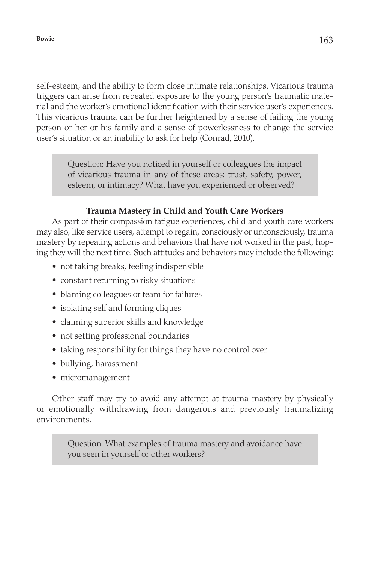self-esteem, and the ability to form close intimate relationships. Vicarious trauma triggers can arise from repeated exposure to the young person's traumatic material and the worker's emotional identification with their service user's experiences. This vicarious trauma can be further heightened by a sense of failing the young person or her or his family and a sense of powerlessness to change the service user's situation or an inability to ask for help (Conrad, 2010).

> Question: Have you noticed in yourself or colleagues the impact of vicarious trauma in any of these areas: trust, safety, power, esteem, or intimacy? What have you experienced or observed?

#### **Trauma Mastery in Child and Youth Care Workers**

As part of their compassion fatigue experiences, child and youth care workers may also, like service users, attempt to regain, consciously or unconsciously, trauma mastery by repeating actions and behaviors that have not worked in the past, hoping they will the next time. Such attitudes and behaviors may include the following:

- not taking breaks, feeling indispensible
- constant returning to risky situations
- blaming colleagues or team for failures
- isolating self and forming cliques
- claiming superior skills and knowledge
- not setting professional boundaries
- taking responsibility for things they have no control over
- bullying, harassment
- micromanagement

Other staff may try to avoid any attempt at trauma mastery by physically or emotionally withdrawing from dangerous and previously traumatizing environments.

> Question: What examples of trauma mastery and avoidance have you seen in yourself or other workers?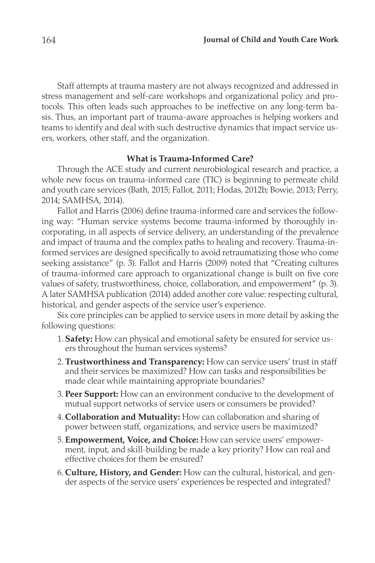Staff attempts at trauma mastery are not always recognized and addressed in stress management and self-care workshops and organizational policy and protocols. This often leads such approaches to be ineffective on any long-term basis. Thus, an important part of trauma-aware approaches is helping workers and teams to identify and deal with such destructive dynamics that impact service users, workers, other staff, and the organization.

#### **What is Trauma-Informed Care?**

Through the ACE study and current neurobiological research and practice, a whole new focus on trauma-informed care (TIC) is beginning to permeate child and youth care services (Bath, 2015; Fallot, 2011; Hodas, 2012b; Bowie, 2013; Perry, 2014; SAMHSA, 2014).

Fallot and Harris (2006) define trauma-informed care and services the following way: "Human service systems become trauma-informed by thoroughly incorporating, in all aspects of service delivery, an understanding of the prevalence and impact of trauma and the complex paths to healing and recovery. Trauma-informed services are designed specifically to avoid retraumatizing those who come seeking assistance" (p. 3). Fallot and Harris (2009) noted that "Creating cultures of trauma-informed care approach to organizational change is built on five core values of safety, trustworthiness, choice, collaboration, and empowerment" (p. 3). A later SAMHSA publication (2014) added another core value: respecting cultural, historical, and gender aspects of the service user's experience.

Six core principles can be applied to service users in more detail by asking the following questions:

- 1. **Safety:** How can physical and emotional safety be ensured for service users throughout the human services systems?
- 2.**Trustworthiness and Transparency:** How can service users' trust in staff and their services be maximized? How can tasks and responsibilities be made clear while maintaining appropriate boundaries?
- 3. **Peer Support:** How can an environment conducive to the development of mutual support networks of service users or consumers be provided?
- 4. **Collaboration and Mutuality:** How can collaboration and sharing of power between staff, organizations, and service users be maximized?
- 5. **Empowerment, Voice, and Choice:** How can service users' empowerment, input, and skill-building be made a key priority? How can real and effective choices for them be ensured?
- 6. **Culture, History, and Gender:** How can the cultural, historical, and gender aspects of the service users' experiences be respected and integrated?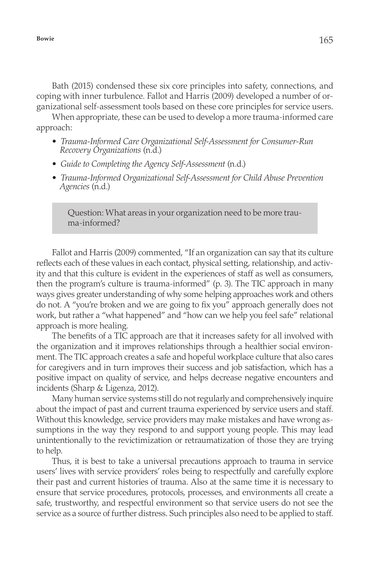Bath (2015) condensed these six core principles into safety, connections, and coping with inner turbulence. Fallot and Harris (2009) developed a number of organizational self-assessment tools based on these core principles for service users.

When appropriate, these can be used to develop a more trauma-informed care approach:

- *• Trauma-Informed Care Organizational Self-Assessment for Consumer-Run Recovery Organizations* (n.d.)
- *• Guide to Completing the Agency Self-Assessment* (n.d.)
- *• Trauma-Informed Organizational Self-Assessment for Child Abuse Prevention Agencies* (n.d.)

Question: What areas in your organization need to be more trauma-informed?

Fallot and Harris (2009) commented, "If an organization can say that its culture reflects each of these values in each contact, physical setting, relationship, and activity and that this culture is evident in the experiences of staff as well as consumers, then the program's culture is trauma-informed" (p. 3). The TIC approach in many ways gives greater understanding of why some helping approaches work and others do not. A "you're broken and we are going to fix you" approach generally does not work, but rather a "what happened" and "how can we help you feel safe" relational approach is more healing.

The benefits of a TIC approach are that it increases safety for all involved with the organization and it improves relationships through a healthier social environment. The TIC approach creates a safe and hopeful workplace culture that also cares for caregivers and in turn improves their success and job satisfaction, which has a positive impact on quality of service, and helps decrease negative encounters and incidents (Sharp & Ligenza, 2012).

Many human service systems still do not regularly and comprehensively inquire about the impact of past and current trauma experienced by service users and staff. Without this knowledge, service providers may make mistakes and have wrong assumptions in the way they respond to and support young people. This may lead unintentionally to the revictimization or retraumatization of those they are trying to help.

Thus, it is best to take a universal precautions approach to trauma in service users' lives with service providers' roles being to respectfully and carefully explore their past and current histories of trauma. Also at the same time it is necessary to ensure that service procedures, protocols, processes, and environments all create a safe, trustworthy, and respectful environment so that service users do not see the service as a source of further distress. Such principles also need to be applied to staff.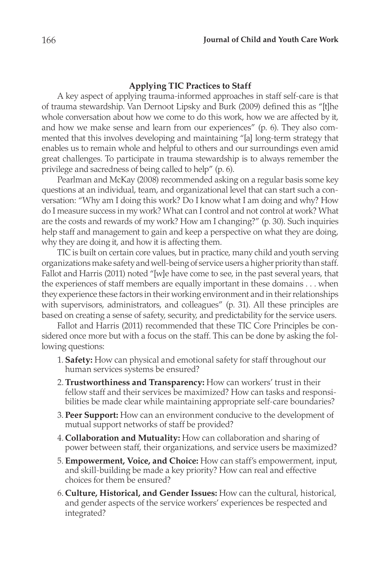#### **Applying TIC Practices to Staff**

A key aspect of applying trauma-informed approaches in staff self-care is that of trauma stewardship. Van Dernoot Lipsky and Burk (2009) defined this as "[t]he whole conversation about how we come to do this work, how we are affected by it, and how we make sense and learn from our experiences" (p. 6). They also commented that this involves developing and maintaining "[a] long-term strategy that enables us to remain whole and helpful to others and our surroundings even amid great challenges. To participate in trauma stewardship is to always remember the privilege and sacredness of being called to help" (p. 6).

Pearlman and McKay (2008) recommended asking on a regular basis some key questions at an individual, team, and organizational level that can start such a conversation: "Why am I doing this work? Do I know what I am doing and why? How do I measure success in my work? What can I control and not control at work? What are the costs and rewards of my work? How am I changing?" (p. 30). Such inquiries help staff and management to gain and keep a perspective on what they are doing, why they are doing it, and how it is affecting them.

TIC is built on certain core values, but in practice, many child and youth serving organizations make safety and well-being of service users a higher priority than staff. Fallot and Harris (2011) noted "[w]e have come to see, in the past several years, that the experiences of staff members are equally important in these domains . . . when they experience these factors in their working environment and in their relationships with supervisors, administrators, and colleagues" (p. 31). All these principles are based on creating a sense of safety, security, and predictability for the service users.

Fallot and Harris (2011) recommended that these TIC Core Principles be considered once more but with a focus on the staff. This can be done by asking the following questions:

- 1. **Safety:** How can physical and emotional safety for staff throughout our human services systems be ensured?
- 2.**Trustworthiness and Transparency:** How can workers' trust in their fellow staff and their services be maximized? How can tasks and responsibilities be made clear while maintaining appropriate self-care boundaries?
- 3. **Peer Support:** How can an environment conducive to the development of mutual support networks of staff be provided?
- 4. **Collaboration and Mutuality:** How can collaboration and sharing of power between staff, their organizations, and service users be maximized?
- 5. **Empowerment, Voice, and Choice:** How can staff's empowerment, input, and skill-building be made a key priority? How can real and effective choices for them be ensured?
- 6. **Culture, Historical, and Gender Issues:** How can the cultural, historical, and gender aspects of the service workers' experiences be respected and integrated?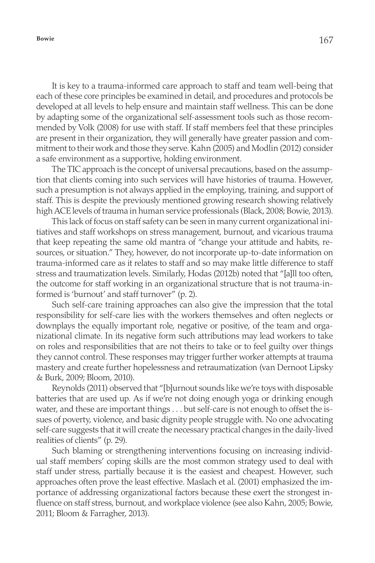It is key to a trauma-informed care approach to staff and team well-being that each of these core principles be examined in detail, and procedures and protocols be developed at all levels to help ensure and maintain staff wellness. This can be done by adapting some of the organizational self-assessment tools such as those recommended by Volk (2008) for use with staff. If staff members feel that these principles are present in their organization, they will generally have greater passion and commitment to their work and those they serve. Kahn (2005) and Modlin (2012) consider a safe environment as a supportive, holding environment.

The TIC approach is the concept of universal precautions, based on the assumption that clients coming into such services will have histories of trauma. However, such a presumption is not always applied in the employing, training, and support of staff. This is despite the previously mentioned growing research showing relatively high ACE levels of trauma in human service professionals (Black, 2008; Bowie, 2013).

This lack of focus on staff safety can be seen in many current organizational initiatives and staff workshops on stress management, burnout, and vicarious trauma that keep repeating the same old mantra of "change your attitude and habits, resources, or situation." They, however, do not incorporate up-to-date information on trauma-informed care as it relates to staff and so may make little difference to staff stress and traumatization levels. Similarly, Hodas (2012b) noted that "[a]ll too often, the outcome for staff working in an organizational structure that is not trauma-informed is 'burnout' and staff turnover" (p. 2).

Such self-care training approaches can also give the impression that the total responsibility for self-care lies with the workers themselves and often neglects or downplays the equally important role, negative or positive, of the team and organizational climate. In its negative form such attributions may lead workers to take on roles and responsibilities that are not theirs to take or to feel guilty over things they cannot control. These responses may trigger further worker attempts at trauma mastery and create further hopelessness and retraumatization (van Dernoot Lipsky & Burk, 2009; Bloom, 2010).

Reynolds (2011) observed that "[b]urnout sounds like we're toys with disposable batteries that are used up. As if we're not doing enough yoga or drinking enough water, and these are important things . . . but self-care is not enough to offset the issues of poverty, violence, and basic dignity people struggle with. No one advocating self-care suggests that it will create the necessary practical changes in the daily-lived realities of clients" (p. 29).

Such blaming or strengthening interventions focusing on increasing individual staff members' coping skills are the most common strategy used to deal with staff under stress, partially because it is the easiest and cheapest. However, such approaches often prove the least effective. Maslach et al. (2001) emphasized the importance of addressing organizational factors because these exert the strongest influence on staff stress, burnout, and workplace violence (see also Kahn, 2005; Bowie, 2011; Bloom & Farragher, 2013).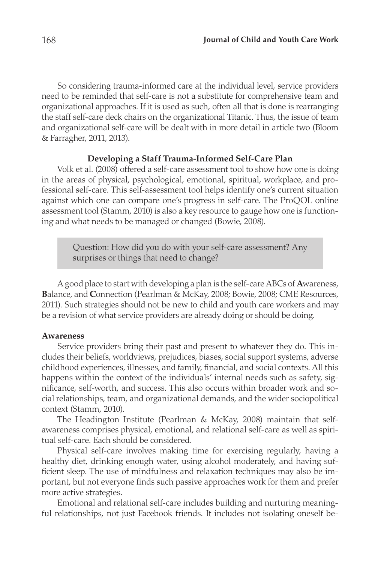So considering trauma-informed care at the individual level, service providers need to be reminded that self-care is not a substitute for comprehensive team and organizational approaches. If it is used as such, often all that is done is rearranging the staff self-care deck chairs on the organizational Titanic. Thus, the issue of team and organizational self-care will be dealt with in more detail in article two (Bloom & Farragher, 2011, 2013).

### **Developing a Staff Trauma-Informed Self-Care Plan**

Volk et al. (2008) offered a self-care assessment tool to show how one is doing in the areas of physical, psychological, emotional, spiritual, workplace, and professional self-care. This self-assessment tool helps identify one's current situation against which one can compare one's progress in self-care. The ProQOL online assessment tool (Stamm, 2010) is also a key resource to gauge how one is functioning and what needs to be managed or changed (Bowie, 2008).

> Question: How did you do with your self-care assessment? Any surprises or things that need to change?

A good place to start with developing a plan is the self-care ABCs of **A**wareness, **B**alance, and **C**onnection (Pearlman & McKay, 2008; Bowie, 2008; CME Resources, 2011). Such strategies should not be new to child and youth care workers and may be a revision of what service providers are already doing or should be doing.

#### **Awareness**

Service providers bring their past and present to whatever they do. This includes their beliefs, worldviews, prejudices, biases, social support systems, adverse childhood experiences, illnesses, and family, financial, and social contexts. All this happens within the context of the individuals' internal needs such as safety, significance, self-worth, and success. This also occurs within broader work and social relationships, team, and organizational demands, and the wider sociopolitical context (Stamm, 2010).

The Headington Institute (Pearlman & McKay, 2008) maintain that selfawareness comprises physical, emotional, and relational self-care as well as spiritual self-care. Each should be considered.

Physical self-care involves making time for exercising regularly, having a healthy diet, drinking enough water, using alcohol moderately, and having sufficient sleep. The use of mindfulness and relaxation techniques may also be important, but not everyone finds such passive approaches work for them and prefer more active strategies.

Emotional and relational self-care includes building and nurturing meaningful relationships, not just Facebook friends. It includes not isolating oneself be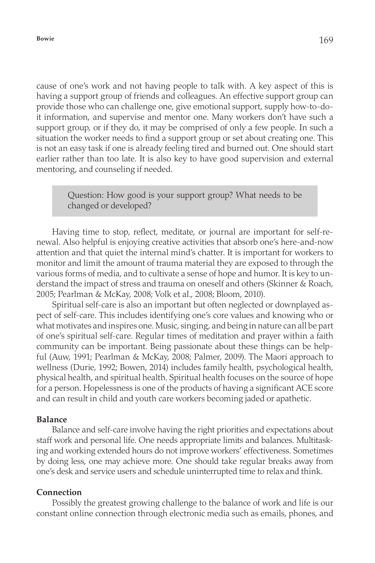cause of one's work and not having people to talk with. A key aspect of this is having a support group of friends and colleagues. An effective support group can provide those who can challenge one, give emotional support, supply how-to-doit information, and supervise and mentor one. Many workers don't have such a support group, or if they do, it may be comprised of only a few people. In such a situation the worker needs to find a support group or set about creating one. This is not an easy task if one is already feeling tired and burned out. One should start earlier rather than too late. It is also key to have good supervision and external mentoring, and counseling if needed.

> Question: How good is your support group? What needs to be changed or developed?

Having time to stop, reflect, meditate, or journal are important for self-renewal. Also helpful is enjoying creative activities that absorb one's here-and-now attention and that quiet the internal mind's chatter. It is important for workers to monitor and limit the amount of trauma material they are exposed to through the various forms of media, and to cultivate a sense of hope and humor. It is key to understand the impact of stress and trauma on oneself and others (Skinner & Roach, 2005; Pearlman & McKay, 2008; Volk et al., 2008; Bloom, 2010).

Spiritual self-care is also an important but often neglected or downplayed aspect of self-care. This includes identifying one's core values and knowing who or what motivates and inspires one. Music, singing, and being in nature can all be part of one's spiritual self-care. Regular times of meditation and prayer within a faith community can be important. Being passionate about these things can be helpful (Auw, 1991; Pearlman & McKay, 2008; Palmer, 2009). The Maori approach to wellness (Durie, 1992; Bowen, 2014) includes family health, psychological health, physical health, and spiritual health. Spiritual health focuses on the source of hope for a person. Hopelessness is one of the products of having a significant ACE score and can result in child and youth care workers becoming jaded or apathetic.

#### **Balance**

Balance and self-care involve having the right priorities and expectations about staff work and personal life. One needs appropriate limits and balances. Multitasking and working extended hours do not improve workers' effectiveness. Sometimes by doing less, one may achieve more. One should take regular breaks away from one's desk and service users and schedule uninterrupted time to relax and think.

### **Connection**

Possibly the greatest growing challenge to the balance of work and life is our constant online connection through electronic media such as emails, phones, and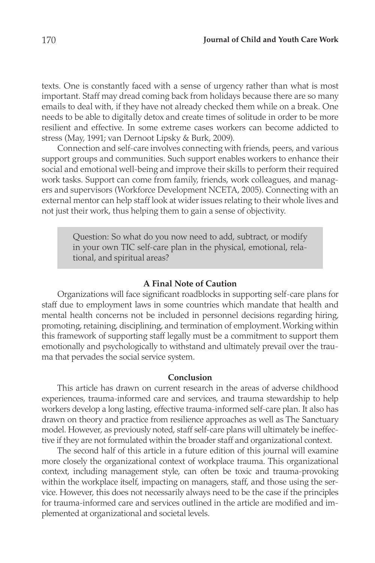texts. One is constantly faced with a sense of urgency rather than what is most important. Staff may dread coming back from holidays because there are so many emails to deal with, if they have not already checked them while on a break. One needs to be able to digitally detox and create times of solitude in order to be more resilient and effective. In some extreme cases workers can become addicted to stress (May, 1991; van Dernoot Lipsky & Burk, 2009).

Connection and self-care involves connecting with friends, peers, and various support groups and communities. Such support enables workers to enhance their social and emotional well-being and improve their skills to perform their required work tasks. Support can come from family, friends, work colleagues, and managers and supervisors (Workforce Development NCETA, 2005). Connecting with an external mentor can help staff look at wider issues relating to their whole lives and not just their work, thus helping them to gain a sense of objectivity.

> Question: So what do you now need to add, subtract, or modify in your own TIC self-care plan in the physical, emotional, relational, and spiritual areas?

#### **A Final Note of Caution**

Organizations will face significant roadblocks in supporting self-care plans for staff due to employment laws in some countries which mandate that health and mental health concerns not be included in personnel decisions regarding hiring, promoting, retaining, disciplining, and termination of employment. Working within this framework of supporting staff legally must be a commitment to support them emotionally and psychologically to withstand and ultimately prevail over the trauma that pervades the social service system.

#### **Conclusion**

This article has drawn on current research in the areas of adverse childhood experiences, trauma-informed care and services, and trauma stewardship to help workers develop a long lasting, effective trauma-informed self-care plan. It also has drawn on theory and practice from resilience approaches as well as The Sanctuary model. However, as previously noted, staff self-care plans will ultimately be ineffective if they are not formulated within the broader staff and organizational context.

The second half of this article in a future edition of this journal will examine more closely the organizational context of workplace trauma. This organizational context, including management style, can often be toxic and trauma-provoking within the workplace itself, impacting on managers, staff, and those using the service. However, this does not necessarily always need to be the case if the principles for trauma-informed care and services outlined in the article are modified and implemented at organizational and societal levels.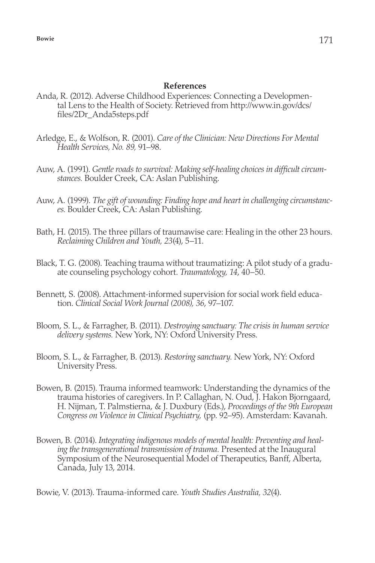#### **References**

- Anda, R. (2012). Adverse Childhood Experiences: Connecting a Developmental Lens to the Health of Society. Retrieved from http://www.in.gov/dcs/ files/2Dr\_Anda5steps.pdf
- Arledge, E., & Wolfson, R. (2001). *Care of the Clinician: New Directions For Mental Health Services, No. 89,* 91–98.
- Auw, A. (1991). *Gentle roads to survival: Making self-healing choices in difficult circumstances.* Boulder Creek, CA: Aslan Publishing.
- Auw, A. (1999). *The gift of wounding: Finding hope and heart in challenging circumstances.* Boulder Creek, CA: Aslan Publishing.
- Bath, H. (2015). The three pillars of traumawise care: Healing in the other 23 hours. *Reclaiming Children and Youth, 23*(4), 5–11.
- Black, T. G. (2008). Teaching trauma without traumatizing: A pilot study of a graduate counseling psychology cohort. *Traumatology, 14*, 40–50.
- Bennett, S. (2008). Attachment-informed supervision for social work field education. *Clinical Social Work Journal (2008), 36*, 97–107.
- Bloom, S. L., & Farragher, B. (2011). *Destroying sanctuary: The crisis in human service delivery systems.* New York, NY: Oxford University Press.
- Bloom, S. L., & Farragher, B. (2013). *Restoring sanctuary.* New York, NY: Oxford University Press.
- Bowen, B. (2015). Trauma informed teamwork: Understanding the dynamics of the trauma histories of caregivers. In P. Callaghan, N. Oud, J. Hakon Bjorngaard, H. Nijman, T. Palmstierna, & J. Duxbury (Eds.), *Proceedings of the 9th European Congress on Violence in Clinical Psychiatry,* (pp. 92–95). Amsterdam: Kavanah.
- Bowen, B. (2014). *Integrating indigenous models of mental health: Preventing and healing the transgenerational transmission of trauma.* Presented at the Inaugural Symposium of the Neurosequential Model of Therapeutics, Banff, Alberta, Canada, July 13, 2014.

Bowie, V. (2013). Trauma-informed care. *Youth Studies Australia, 32*(4).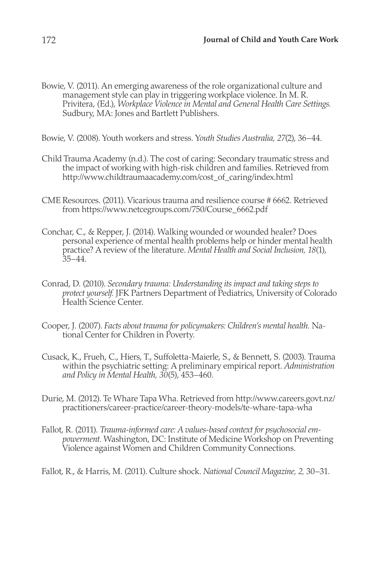Bowie, V. (2011). An emerging awareness of the role organizational culture and management style can play in triggering workplace violence. In M. R. Privitera, (Ed.), *Workplace Violence in Mental and General Health Care Settings.* Sudbury, MA: Jones and Bartlett Publishers.

Bowie, V. (2008). Youth workers and stress. Y*outh Studies Australia, 27*(2), 36–44.

- Child Trauma Academy (n.d.). The cost of caring: Secondary traumatic stress and the impact of working with high-risk children and families. Retrieved from http://www.childtraumaacademy.com/cost\_of\_caring/index.html
- CME Resources. (2011). Vicarious trauma and resilience course # 6662. Retrieved from https://www.netcegroups.com/750/Course\_6662.pdf
- Conchar, C., & Repper, J. (2014). Walking wounded or wounded healer? Does personal experience of mental health problems help or hinder mental health practice? A review of the literature. *Mental Health and Social Inclusion, 18*(1),  $35 - 44$ .
- Conrad, D. (2010). *Secondary trauma: Understanding its impact and taking steps to protect yourself.* JFK Partners Department of Pediatrics, University of Colorado Health Science Center.
- Cooper, J. (2007). *Facts about trauma for policymakers: Children's mental health.* National Center for Children in Poverty.
- Cusack, K., Frueh, C., Hiers, T., Suffoletta-Maierle, S., & Bennett, S. (2003). Trauma within the psychiatric setting: A preliminary empirical report. *Administration and Policy in Mental Health, 30*(5), 453–460.
- Durie, M. (2012). Te Whare Tapa Wha. Retrieved from http://www.careers.govt.nz/ practitioners/career-practice/career-theory-models/te-whare-tapa-wha
- Fallot, R. (2011). *Trauma-informed care: A values-based context for psychosocial empowerment.* Washington, DC: Institute of Medicine Workshop on Preventing Violence against Women and Children Community Connections.

Fallot, R., & Harris, M. (2011). Culture shock. *National Council Magazine, 2,* 30–31.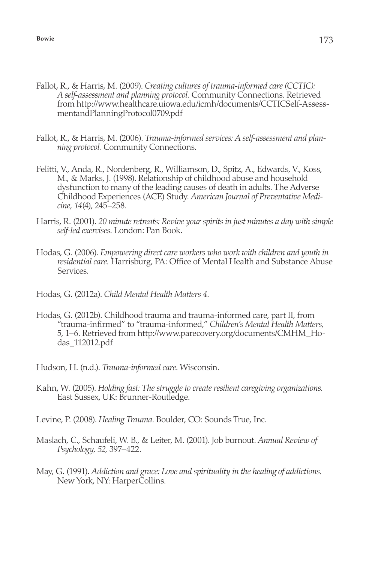- Fallot, R., & Harris, M. (2009). *Creating cultures of trauma-informed care (CCTIC): A self-assessment and planning protocol.* Community Connections. Retrieved from http://www.healthcare.uiowa.edu/icmh/documents/CCTICSelf-AssessmentandPlanningProtocol0709.pdf
- Fallot, R., & Harris, M. (2006). *Trauma-informed services: A self-assessment and planning protocol.* Community Connections.
- Felitti, V., Anda, R., Nordenberg, R., Williamson, D., Spitz, A., Edwards, V., Koss, M., & Marks, J. (1998). Relationship of childhood abuse and household dysfunction to many of the leading causes of death in adults. The Adverse Childhood Experiences (ACE) Study. *American Journal of Preventative Medicine, 14*(4), 245–258.
- Harris, R. (2001). *20 minute retreats: Revive your spirits in just minutes a day with simple self-led exercises*. London: Pan Book.
- Hodas, G. (2006). *Empowering direct care workers who work with children and youth in residential care.* Harrisburg, PA: Office of Mental Health and Substance Abuse Services.
- Hodas, G. (2012a). *Child Mental Health Matters 4*.
- Hodas, G. (2012b). Childhood trauma and trauma-informed care, part II, from "trauma-infirmed" to "trauma-informed," *Children's Mental Health Matters,*  5, 1–6. Retrieved from http://www.parecovery.org/documents/CMHM\_Hodas\_112012.pdf
- Hudson, H. (n.d.). *Trauma-informed care*. Wisconsin.
- Kahn, W. (2005). *Holding fast: The struggle to create resilient caregiving organizations.* East Sussex, UK: Brunner-Routledge.
- Levine, P. (2008). *Healing Trauma.* Boulder, CO: Sounds True, Inc.
- Maslach, C., Schaufeli, W. B., & Leiter, M. (2001). Job burnout. *Annual Review of Psychology, 52,* 397–422.
- May, G. (1991). *Addiction and grace: Love and spirituality in the healing of addictions.*  New York, NY: HarperCollins.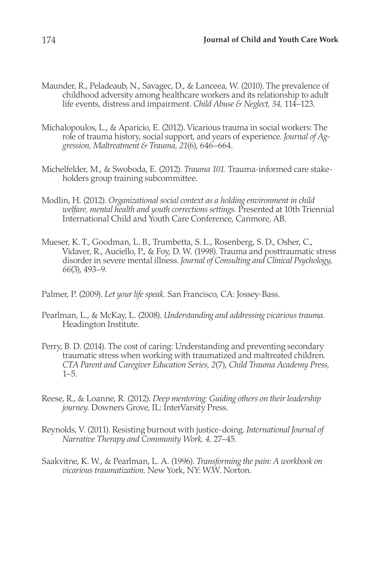- Maunder, R., Peladeaub, N., Savagec, D., & Lanceea, W. (2010). The prevalence of childhood adversity among healthcare workers and its relationship to adult life events, distress and impairment. *Child Abuse & Neglect, 34,* 114–123.
- Michalopoulos, L., & Aparicio, E. (2012). Vicarious trauma in social workers: The role of trauma history, social support, and years of experience. *Journal of Aggression, Maltreatment & Trauma, 21*(6), 646–664.
- Michelfelder, M., & Swoboda, E. (2012). *Trauma 101.* Trauma-informed care stakeholders group training subcommittee.
- Modlin, H. (2012). *Organizational social context as a holding environment in child welfare, mental health and youth corrections settings.* Presented at 10th Triennial International Child and Youth Care Conference, Canmore, AB.
- Mueser, K. T., Goodman, L. B., Trumbetta, S. L., Rosenberg, S. D., Osher, C., Vidaver, R., Auciello, P., & Foy, D. W. (1998). Trauma and posttraumatic stress disorder in severe mental illness. *Journal of Consulting and Clinical Psychology, 66*(3), 493–9.
- Palmer, P. (2009). *Let your life speak.* San Francisco, CA: Jossey-Bass.
- Pearlman, L., & McKay, L. (2008). *Understanding and addressing vicarious trauma.*  Headington Institute.
- Perry, B. D. (2014). The cost of caring: Understanding and preventing secondary traumatic stress when working with traumatized and maltreated children. *CTA Parent and Caregiver Education Series, 2*(7), *Child Trauma Academy Press,*  1–5.
- Reese, R., & Loanne, R. (2012). *Deep mentoring: Guiding others on their leadership journey.* Downers Grove, IL: InterVarsity Press.
- Reynolds, V. (2011). Resisting burnout with justice-doing. *International Journal of Narrative Therapy and Community Work, 4,* 27–45.
- Saakvitne, K. W., & Pearlman, L. A. (1996). *Transforming the pain: A workbook on vicarious traumatization.* New York, NY: W.W. Norton.